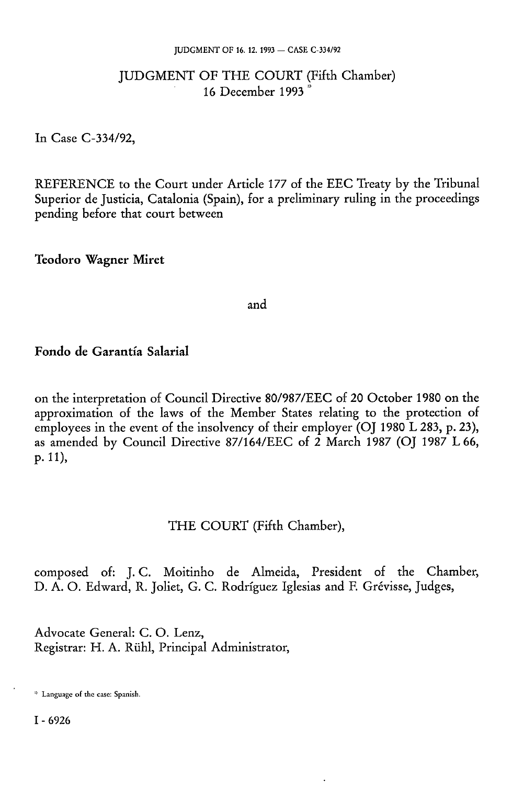#### JUDGMENT OF 16. 12. 1993 — CASE C-334/92

## JUDGMENT OF THE COURT (Fifth Chamber) 16 December 1993<sup> $\frac{3}{4}$ </sup>

In Case C-334/92,

REFERENCE to the Court under Article 177 of the EEC Treaty by the Tribunal Superior de Justicia, Catalonia (Spain), for a preliminary ruling in the proceedings pending before that court between

**Teodoro Wagner Miret** 

and

## **Fondo de Garantía Salarial**

on the interpretation of Council Directive 80/987/EEC of 20 October 1980 on the approximation of the laws of the Member States relating to the protection of employees in the event of the insolvency of their employer (OJ 1980 L 283, p. 23), as amended by Council Directive 87/164/EEC of 2 March 1987 (OJ 1987 L 66, p. 11),

## THE COURT (Fifth Chamber),

composed of: J. C. Moitinho de Almeida, President of the Chamber, D. A. O. Edward, R. Joliét, G. C. Rodríguez Iglesias and F. Grévisse, Judges,

Advocate General: C.O. Lenz, Registrar: H. A. Rühi, Principal Administrator,

I - 6926

<sup>\*</sup> Language of the case: Spanish.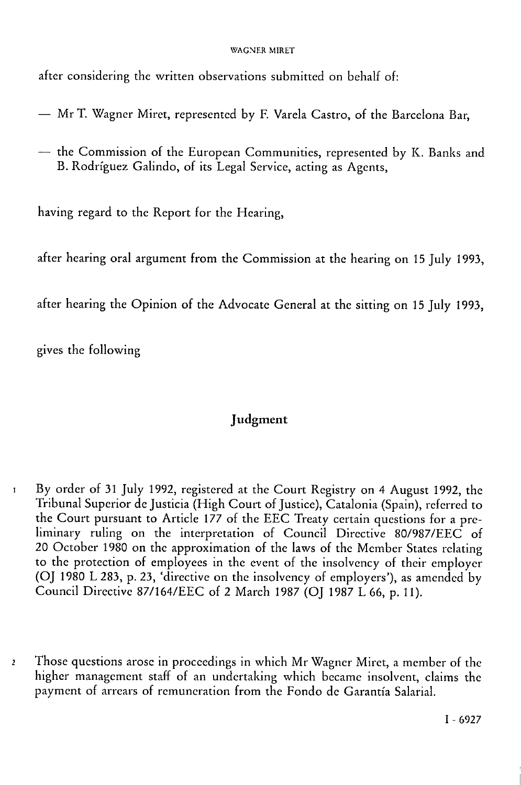#### WAGNER MIRET

after considering the written observations submitted on behalf of:

- Mr T. Wagner Miret, represented by F. Varela Castro, of the Barcelona Bar,
- the Commission of the European Communities, represented by K. Banks and B. Rodriguez Galindo, of its Legal Service, acting as Agents,

having regard to the Report for the Hearing,

after hearing oral argument from the Commission at the hearing on 15 July 1993,

after hearing the Opinion of the Advocate General at the sitting on 15 July 1993,

gives the following

# Judgment

- 1 By order of 31 July 1992, registered at the Court Registry on 4 August 1992, the Tribunal Superior de Justicia (High Court of Justice), Catalonia (Spain), referred to the Court pursuant to Article 177 of the EEC Treaty certain questions for a preliminary ruling on the interpretation of Council Directive 80/987/EEC of 20 October 1980 on the approximation of the laws of the Member States relating to the protection of employees in the event of the insolvency of their employer (OJ 1980 L 283, p. 23, 'directive on the insolvency of employers'), as amended by Council Directive 87/164/EEC of 2 March 1987 (OJ 1987 L 66, p. 11).
- *2* Those questions arose in proceedings in which Mr Wagner Miret, a member of the higher management staff of an undertaking which became insolvent, claims the payment of arrears of remuneration from the Fondo de Garantía Salarial.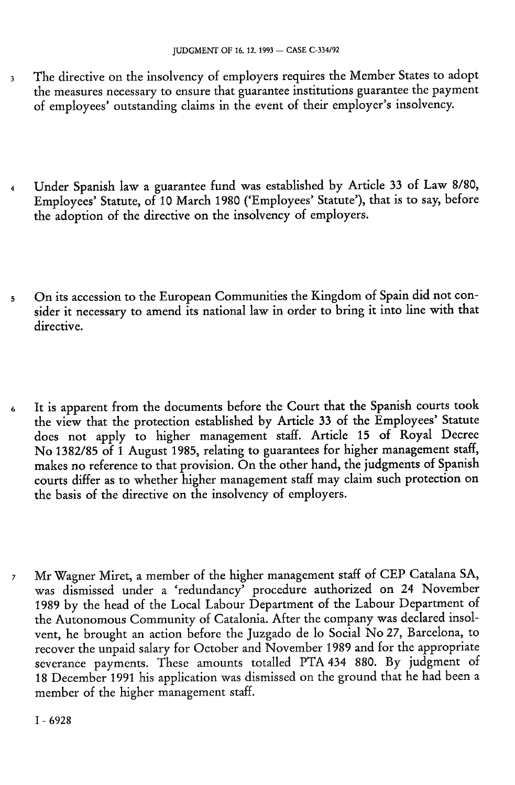- 3 The directive on the insolvency of employers requires the Member States to adopt the measures necessary to ensure that guarantee institutions guarantee the payment of employees' outstanding claims in the event of their employer's insolvency.
- 4 Under Spanish law a guarantee fund was established by Article 33 of Law 8/80, Employees' Statute, of 10 March 1980 ('Employees' Statute'), that is to say, before the adoption of the directive on the insolvency of employers.
- 5 On its accession to the European Communities the Kingdom of Spain did not consider it necessary to amend its national law in order to bring it into line with that directive.
- 6 It is apparent from the documents before the Court that the Spanish courts took the view that the protection established by Article 33 of the Employees' Statute does not apply to higher management staff. Article 15 of Royal Decree No 1382/85 of 1 August 1985, relating to guarantees for higher management staff, makes no reference to that provision. On the other hand, the judgments of Spanish courts differ as to whether higher management staff may claim such protection on the basis of the directive on the insolvency of employers.
- 7 Mr Wagner Miret, a member of the higher management staff of CEP Catalana SA, was dismissed under a 'redundancy' procedure authorized on 24 November 1989 by the head of the Local Labour Department of the Labour Department of the Autonomous Community of Catalonia. After the company was declared insolvent, he brought an action before the Juzgado de lo Social No 27, Barcelona, to recover the unpaid salary for October and November 1989 and for the appropriate severance payments. These amounts totalled PTA 434 880. By judgment of 18 December 1991 his application was dismissed on the ground that he had been a member of the higher management staff.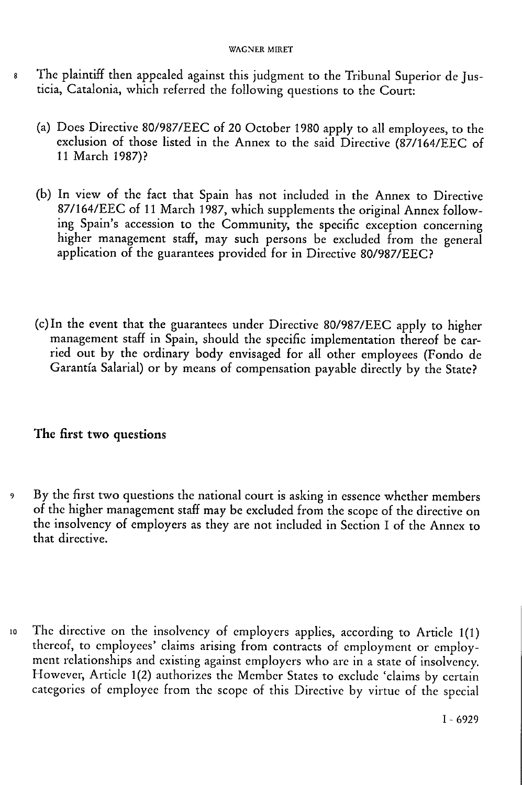#### WAGNER MIRET

- 8 The plaintiff then appealed against this judgment to the Tribunal Superior de Justicia, Catalonia, which referred the following questions to the Court:
	- (a) Does Directive 80/987/EEC of 20 October 1980 apply to all employees, to the exclusion of those listed in the Annex to the said Directive (87/164/EEC of 11 March 1987)?
	- (b) In view of the fact that Spain has not included in the Annex to Directive 87/164/EEC of 11 March 1987, which supplements the original Annex following Spain's accession to the Community, the specific exception concerning higher management staff, may such persons be excluded from the general application of the guarantees provided for in Directive 80/987/EEC?
	- (c)In the event that the guarantees under Directive 80/987/EEC apply to higher management staff in Spain, should the specific implementation thereof be carried out by the ordinary body envisaged for all other employees (Fondo de Garantía Salarial) or by means of compensation payable directly by the State?

## **The** first **two** questions

- 9 By the first two questions the national court is asking in essence whether members of the higher management staff may be excluded from the scope of the directive on the insolvency of employers as they are not included in Section I of the Annex to that directive.
- io The directive on the insolvency of employers applies, according to Article 1(1) thereof, to employees' claims arising from contracts of employment or employment relationships and existing against employers who are in a state of insolvency. However, Article 1(2) authorizes the Member States to exclude 'claims by certain categories of employee from the scope of this Directive by virtue of the special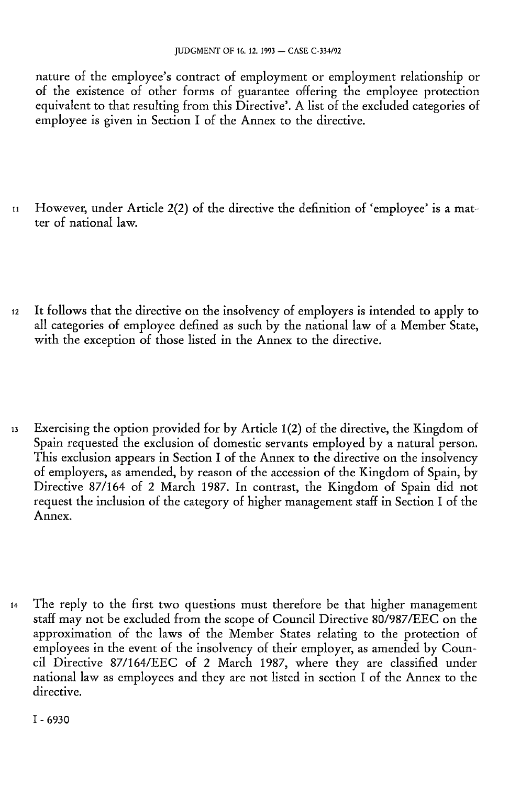nature of the employee's contract of employment or employment relationship or of the existence of other forms of guarantee offering the employee protection equivalent to that resulting from this Directive'. A list of the excluded categories of employee is given in Section I of the Annex to the directive.

- 11 However, under Article 2(2) of the directive the definition of 'employee' is a matter of national law.
- 12 It follows that the directive on the insolvency of employers is intended to apply to all categories of employee defined as such by the national law of a Member State, with the exception of those listed in the Annex to the directive.
- 13 Exercising the option provided for by Article 1(2) of the directive, the Kingdom of Spain requested the exclusion of domestic servants employed by a natural person. This exclusion appears in Section I of the Annex to the directive on the insolvency of employers, as amended, by reason of the accession of the Kingdom of Spain, by Directive 87/164 of 2 March 1987. In contrast, the Kingdom of Spain did not request the inclusion of the category of higher management staff in Section I of the Annex.
- 14 The reply to the first two questions must therefore be that higher management staff may not be excluded from the scope of Council Directive 80/987/EEC on the approximation of the laws of the Member States relating to the protection of employees in the event of the insolvency of their employer, as amended by Council Directive 87/164/EEC of 2 March 1987, where they are classified under national law as employees and they are not listed in section I of the Annex to the directive.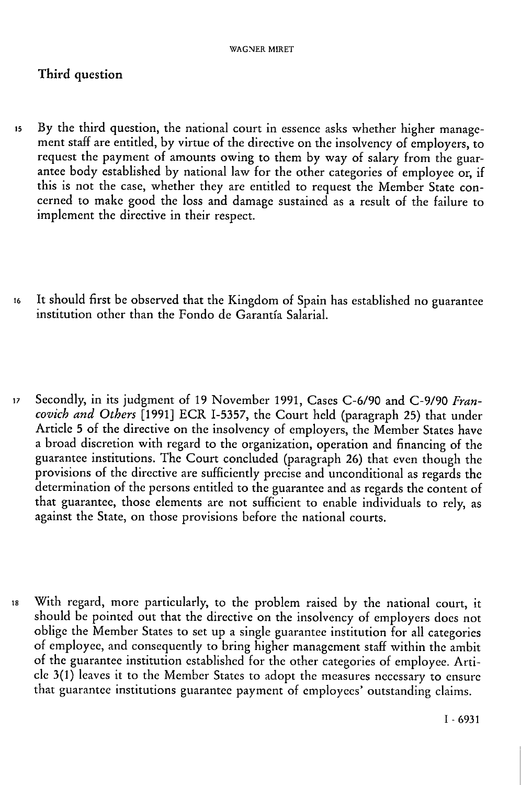## Third question

- is By the third question, the national court in essence asks whether higher management staff are entitled, by virtue of the directive on the insolvency of employers, to request the payment of amounts owing to them by way of salary from the guarantee body established by national law for the other categories of employee or, if this is not the case, whether they are entitled to request the Member State concerned to make good the loss and damage sustained as a result of the failure to implement the directive in their respect.
- i6 It should first be observed that the Kingdom of Spain has established no guarantee institution other than the Fondo de Garantía Salarial.
- i7 Secondly, in its judgment of 19 November 1991, Cases C-6/90 and C-9/90 *Francovich and Others* [1991] ECR 1-5357, the Court held (paragraph 25) that under Article 5 of the directive on the insolvency of employers, the Member States have a broad discretion with regard to the organization, operation and financing of the guarantee institutions. The Court concluded (paragraph 26) that even though the provisions of the directive are sufficiently precise and unconditional as regards the determination of the persons entitled to the guarantee and as regards the content of that guarantee, those elements are not sufficient to enable individuals to rely, as against the State, on those provisions before the national courts.
- is With regard, more particularly, to the problem raised by the national court, it should be pointed out that the directive on the insolvency of employers does not oblige the Member States to set up a single guarantee institution for all categories of employee, and consequently to bring higher management staff within the ambit of the guarantee institution established for the other categories of employee. Article 3(1) leaves it to the Member States to adopt the measures necessary to ensure that guarantee institutions guarantee payment of employees' outstanding claims.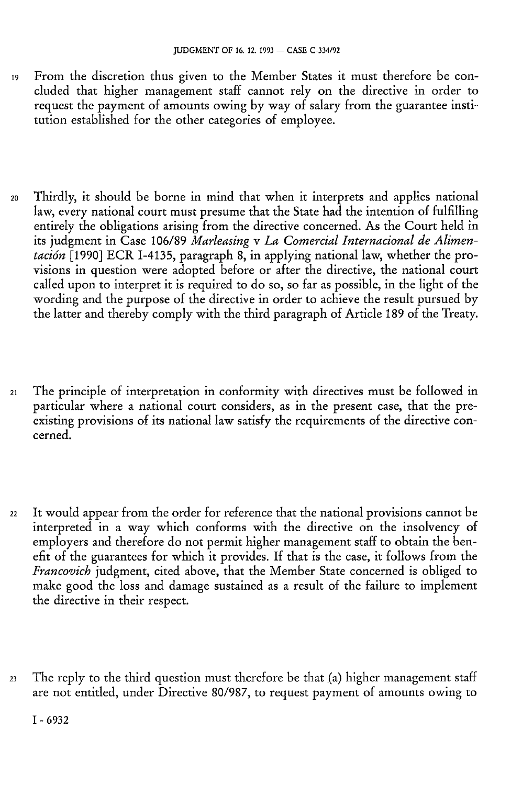- i9 From the discretion thus given to the Member States it must therefore be concluded that higher management staff cannot rely on the directive in order to request the payment of amounts owing by way of salary from the guarantee institution established for the other categories of employee.
- 20 Thirdly, it should be borne in mind that when it interprets and applies national law, every national court must presume that the State had the intention of fulfilling entirely the obligations arising from the directive concerned. As the Court held in its judgment in Case 106/89 *Marleasing* v *La Comercial Internacional de Alimentación* [1990] ECR 1-4135, paragraph 8, in applying national law, whether the provisions in question were adopted before or after the directive, the national court called upon to interpret it is required to do so, so far as possible, in the light of the wording and the purpose of the directive in order to achieve the result pursued by the latter and thereby comply with the third paragraph of Article 189 of the Treaty.
- 2i The principle of interpretation in conformity with directives must be followed in particular where a national court considers, as in the present case, that the preexisting provisions of its national law satisfy the requirements of the directive concerned.
- 22 It would appear from the order for reference that the national provisions cannot be interpreted in a way which conforms with the directive on the insolvency of employers and therefore do not permit higher management staff to obtain the benefit of the guarantees for which it provides. If that is the case, it follows from the *Francovich* judgment, cited above, that the Member State concerned is obliged to make good the loss and damage sustained as a result of the failure to implement the directive in their respect.
- 23 The reply to the third question must therefore be that (a) higher management staff are not entitled, under Directive 80/987, to request payment of amounts owing to

I - 6932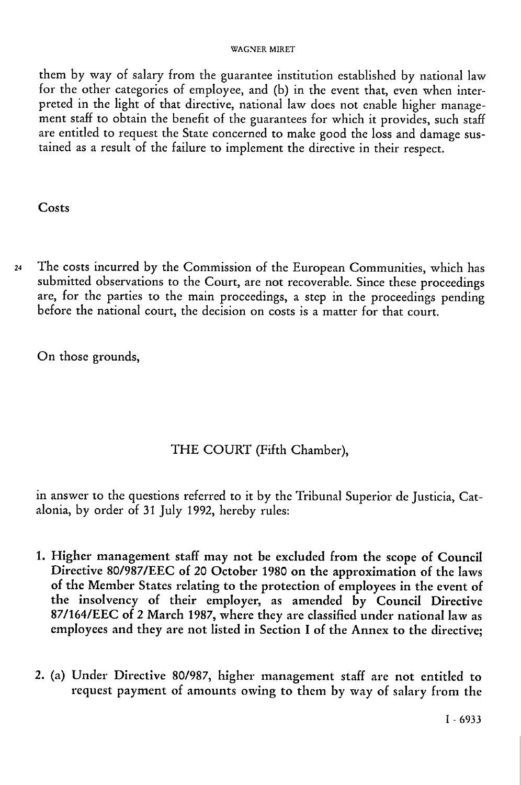#### WAGNER MIRET

them by way of salary from the guarantee institution established by national law for the other categories of employee, and (b) in the event that, even when interpreted in the light of that directive, national law does not enable higher management staff to obtain the benefit of the guarantees for which it provides, such staff are entitled to request the State concerned to make good the loss and damage sustained as a result of the failure to implement the directive in their respect.

## **Costs**

24 The costs incurred by the Commission of the European Communities, which has submitted observations to the Court, are not recoverable. Since these proceedings are, for the parties to the main proceedings, a step in the proceedings pending before the national court, the decision on costs is a matter for that court.

On those grounds,

# THE COURT (Fifth Chamber),

in answer to the questions referred to it by the Tribunal Superior de Justicia, Catalonia, by order of 31 July 1992, hereby rules:

- 1. Higher management staff may not be excluded from the scope of Council Directive 80/987/EEC of 20 October 1980 on the approximation of the laws of the Member States relating to the protection of employees in the event of the insolvency of their employer, as amended by Council Directive 87/164/EEC of 2 March 1987, where they are classified under national law as employees and they are not listed in Section I of the Annex to the directive;
- 2. (a) Under Directive 80/987, higher management staff are not entitled to request payment of amounts owing to them by way of salary from the